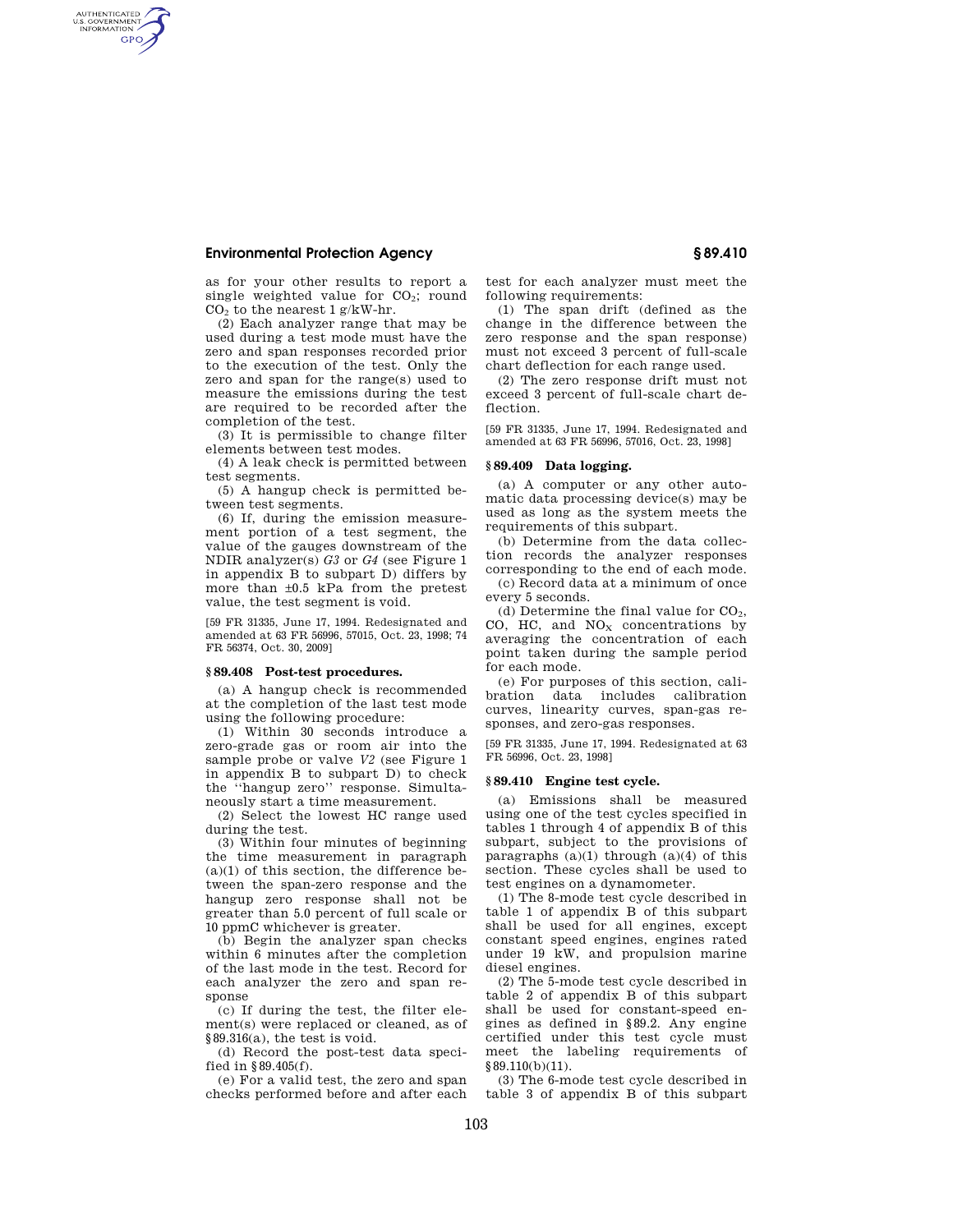## **Environmental Protection Agency § 89.410**

AUTHENTICATED<br>U.S. GOVERNMENT<br>INFORMATION **GPO** 

> as for your other results to report a single weighted value for  $CO<sub>2</sub>$ ; round CO<sup>2</sup> to the nearest 1 g/kW-hr.

(2) Each analyzer range that may be used during a test mode must have the zero and span responses recorded prior to the execution of the test. Only the zero and span for the range(s) used to measure the emissions during the test are required to be recorded after the completion of the test.

(3) It is permissible to change filter elements between test modes.

(4) A leak check is permitted between test segments.

(5) A hangup check is permitted between test segments.

(6) If, during the emission measurement portion of a test segment, the value of the gauges downstream of the NDIR analyzer(s) *G3* or *G4* (see Figure 1 in appendix B to subpart D) differs by more than ±0.5 kPa from the pretest value, the test segment is void.

[59 FR 31335, June 17, 1994. Redesignated and amended at 63 FR 56996, 57015, Oct. 23, 1998; 74 FR 56374, Oct. 30, 2009]

# **§ 89.408 Post-test procedures.**

(a) A hangup check is recommended at the completion of the last test mode using the following procedure:

(1) Within 30 seconds introduce a zero-grade gas or room air into the sample probe or valve *V2* (see Figure 1 in appendix B to subpart D) to check the ''hangup zero'' response. Simultaneously start a time measurement.

(2) Select the lowest HC range used during the test.

(3) Within four minutes of beginning the time measurement in paragraph  $(a)(1)$  of this section, the difference between the span-zero response and the hangup zero response shall not be greater than 5.0 percent of full scale or 10 ppmC whichever is greater.

(b) Begin the analyzer span checks within 6 minutes after the completion of the last mode in the test. Record for each analyzer the zero and span response

(c) If during the test, the filter element(s) were replaced or cleaned, as of §89.316(a), the test is void.

(d) Record the post-test data specified in §89.405(f).

(e) For a valid test, the zero and span checks performed before and after each test for each analyzer must meet the following requirements:

(1) The span drift (defined as the change in the difference between the zero response and the span response) must not exceed 3 percent of full-scale chart deflection for each range used.

(2) The zero response drift must not exceed 3 percent of full-scale chart deflection.

[59 FR 31335, June 17, 1994. Redesignated and amended at 63 FR 56996, 57016, Oct. 23, 1998]

# **§ 89.409 Data logging.**

(a) A computer or any other automatic data processing device(s) may be used as long as the system meets the requirements of this subpart.

(b) Determine from the data collection records the analyzer responses corresponding to the end of each mode.

(c) Record data at a minimum of once every 5 seconds.

(d) Determine the final value for  $CO<sub>2</sub>$ , CO, HC, and  $NO<sub>X</sub>$  concentrations by averaging the concentration of each point taken during the sample period for each mode.

(e) For purposes of this section, calibration data includes calibration curves, linearity curves, span-gas responses, and zero-gas responses.

[59 FR 31335, June 17, 1994. Redesignated at 63 FR 56996, Oct. 23, 1998]

### **§ 89.410 Engine test cycle.**

(a) Emissions shall be measured using one of the test cycles specified in tables 1 through 4 of appendix B of this subpart, subject to the provisions of paragraphs  $(a)(1)$  through  $(a)(4)$  of this section. These cycles shall be used to test engines on a dynamometer.

(1) The 8-mode test cycle described in table 1 of appendix B of this subpart shall be used for all engines, except constant speed engines, engines rated under 19 kW, and propulsion marine diesel engines.

(2) The 5-mode test cycle described in table 2 of appendix B of this subpart shall be used for constant-speed engines as defined in §89.2. Any engine certified under this test cycle must meet the labeling requirements of §89.110(b)(11).

(3) The 6-mode test cycle described in table 3 of appendix B of this subpart